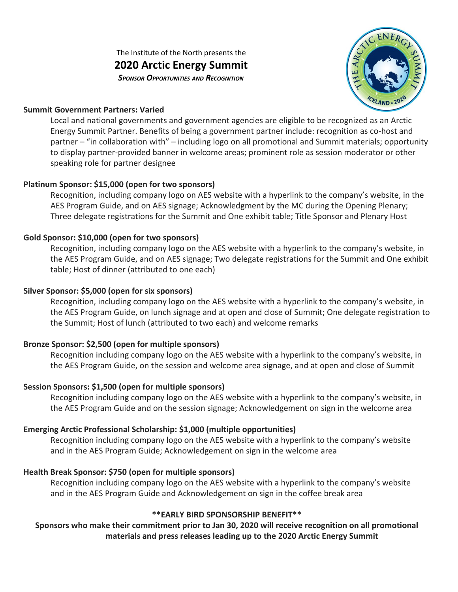The Institute of the North presents the **2020 Arctic Energy Summit** *SPONSOR OPPORTUNITIES AND RECOGNITION*



#### **Summit Government Partners: Varied**

Local and national governments and government agencies are eligible to be recognized as an Arctic Energy Summit Partner. Benefits of being a government partner include: recognition as co-host and partner – "in collaboration with" – including logo on all promotional and Summit materials; opportunity to display partner-provided banner in welcome areas; prominent role as session moderator or other speaking role for partner designee

## **Platinum Sponsor: \$15,000 (open for two sponsors)**

Recognition, including company logo on AES website with a hyperlink to the company's website, in the AES Program Guide, and on AES signage; Acknowledgment by the MC during the Opening Plenary; Three delegate registrations for the Summit and One exhibit table; Title Sponsor and Plenary Host

## **Gold Sponsor: \$10,000 (open for two sponsors)**

Recognition, including company logo on the AES website with a hyperlink to the company's website, in the AES Program Guide, and on AES signage; Two delegate registrations for the Summit and One exhibit table; Host of dinner (attributed to one each)

#### **Silver Sponsor: \$5,000 (open for six sponsors)**

Recognition, including company logo on the AES website with a hyperlink to the company's website, in the AES Program Guide, on lunch signage and at open and close of Summit; One delegate registration to the Summit; Host of lunch (attributed to two each) and welcome remarks

## **Bronze Sponsor: \$2,500 (open for multiple sponsors)**

Recognition including company logo on the AES website with a hyperlink to the company's website, in the AES Program Guide, on the session and welcome area signage, and at open and close of Summit

## **Session Sponsors: \$1,500 (open for multiple sponsors)**

Recognition including company logo on the AES website with a hyperlink to the company's website, in the AES Program Guide and on the session signage; Acknowledgement on sign in the welcome area

## **Emerging Arctic Professional Scholarship: \$1,000 (multiple opportunities)**

Recognition including company logo on the AES website with a hyperlink to the company's website and in the AES Program Guide; Acknowledgement on sign in the welcome area

## **Health Break Sponsor: \$750 (open for multiple sponsors)**

Recognition including company logo on the AES website with a hyperlink to the company's website and in the AES Program Guide and Acknowledgement on sign in the coffee break area

## **\*\*EARLY BIRD SPONSORSHIP BENEFIT\*\***

# **Sponsors who make their commitment prior to Jan 30, 2020 will receive recognition on all promotional materials and press releases leading up to the 2020 Arctic Energy Summit**